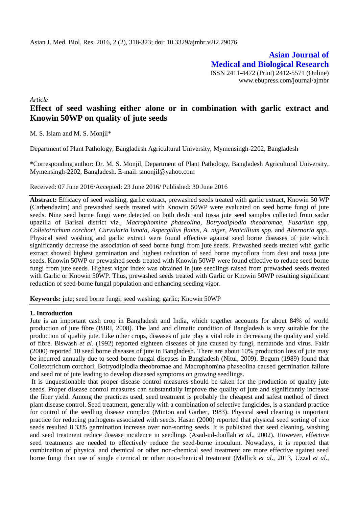**Asian Journal of Medical and Biological Research** ISSN 2411-4472 (Print) 2412-5571 (Online) www.ebupress.com/journal/ajmbr

*Article*

# **Effect of seed washing either alone or in combination with garlic extract and Knowin 50WP on quality of jute seeds**

M. S. Islam and M. S. Monjil\*

Department of Plant Pathology, Bangladesh Agricultural University, Mymensingh-2202, Bangladesh

\*Corresponding author: Dr. M. S. Monjil, Department of Plant Pathology, Bangladesh Agricultural University, Mymensingh-2202, Bangladesh. E-mail: smonjil@yahoo.com

Received: 07 June 2016/Accepted: 23 June 2016/ Published: 30 June 2016

**Abstract:** Efficacy of seed washing, garlic extract, prewashed seeds treated with garlic extract, Knowin 50 WP (Carbendazim) and prewashed seeds treated with Knowin 50WP were evaluated on seed borne fungi of jute seeds. Nine seed borne fungi were detected on both deshi and tossa jute seed samples collected from sadar upazilla of Barisal district viz., *Macrophomina phaseolina, Botryodiplodia theobromae, Fusarium spp, Colletotrichum corchori, Curvularia lunata, Aspergillus flavus, A. niger, Penicillium spp.* and *Alternaria spp.*. Physical seed washing and garlic extract were found effective against seed borne diseases of jute which significantly decrease the association of seed borne fungi from jute seeds. Prewashed seeds treated with garlic extract showed highest germination and highest reduction of seed borne mycoflora from desi and tossa jute seeds. Knowin 50WP or prewashed seeds treated with Knowin 50WP were found effective to reduce seed borne fungi from jute seeds. Highest vigor index was obtained in jute seedlings raised from prewashed seeds treated with Garlic or Knowin 50WP. Thus, prewashed seeds treated with Garlic or Knowin 50WP resulting significant reduction of seed-borne fungal population and enhancing seeding vigor.

**Keywords:** jute; seed borne fungi; seed washing; garlic; Knowin 50WP

#### **1. Introduction**

Jute is an important cash crop in Bangladesh and India, which together accounts for about 84% of world production of jute fibre (BJRI, 2008). The land and climatic condition of Bangladesh is very suitable for the production of quality jute. Like other crops, diseases of jute play a vital role in decreasing the quality and yield of fibre. Biswash *et al*. (1992) reported eighteen diseases of jute caused by fungi, nematode and virus. Fakir (2000) reported 10 seed borne diseases of jute in Bangladesh. There are about 10% production loss of jute may be incurred annually due to seed-borne fungal diseases in Bangladesh (Nitul, 2009). Begum (1989) found that Colletotrichum corchori, Botryodiplodia theobromae and Macrophomina phaseolina caused germination failure and seed rot of jute leading to develop diseased symptoms on growing seedlings.

It is unquestionable that proper disease control measures should be taken for the production of quality jute seeds. Proper disease control measures can substantially improve the quality of jute and significantly increase the fiber yield. Among the practices used, seed treatment is probably the cheapest and safest method of direct plant disease control. Seed treatment, generally with a combination of selective fungicides, is a standard practice for control of the seedling disease complex (Minton and Garber, 1983). Physical seed cleaning is important practice for reducing pathogens associated with seeds. Hasan (2000) reported that physical seed sorting of rice seeds resulted 8.33% germination increase over non-sorting seeds. It is published that seed cleaning, washing and seed treatment reduce disease incidence in seedlings (Asad-ud-doullah *et al*., 2002). However, effective seed treatments are needed to effectively reduce the seed-borne inoculum. Nowadays, it is reported that combination of physical and chemical or other non-chemical seed treatment are more effective against seed borne fungi than use of single chemical or other non-chemical treatment (Mallick *et al*., 2013, Uzzal *et al*.,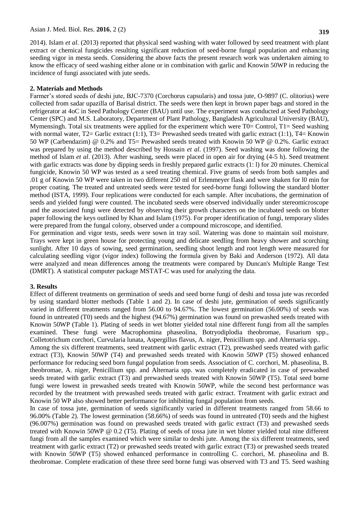2014). Islam *et al*. (2013) reported that physical seed washing with water followed by seed treatment with plant extract or chemical fungicides resulting significant reduction of seed-borne fungal population and enhancing seeding vigor in mesta seeds. Considering the above facts the present research work was undertaken aiming to know the efficacy of seed washing either alone or in combination with garlic and Knowin 50WP in reducing the incidence of fungi associated with jute seeds.

#### **2. Materials and Methods**

Farmer's stored seeds of deshi jute, BJC-7370 (Corchorus capsularis) and tossa jute, O-9897 (C. olitorius) were collected from sadar upazilla of Barisal district. The seeds were then kept in brown paper bags and stored in the refrigerator at 4oC in Seed Pathology Center (BAU) until use. The experiment was conducted at Seed Pathology Center (SPC) and M.S. Laboratory, Department of Plant Pathology, Bangladesh Agricultural University (BAU), Mymensingh. Total six treatments were applied for the experiment which were  $T0=$  Control,  $T1=$  Seed washing with normal water, T2= Garlic extract (1:1), T3= Prewashed seeds treated with garlic extract (1:1), T4= Knowin 50 WP (Carbendazim) @ 0.2% and T5= Prewashed seeds treated with Knowin 50 WP @ 0.2%. Garlic extract was prepared by using the method described by Hossain *et al*. (1997). Seed washing was done following the method of Islam *et al*. (2013). After washing, seeds were placed in open air for drying (4-5 h). Seed treatment with garlic extracts was done by dipping seeds in freshly prepared garlic extracts (1: 1) for 20 minutes. Chemical fungicide, Knowin 50 WP was tested as a seed treating chemical. Five grams of seeds from both samples and .01 g of Knowin 50 WP were taken in two different 250 ml of Erlenmeyer flask and were shaken for l0 min for proper coating. The treated and untreated seeds were tested for seed-borne fungi following the standard blotter method (ISTA, 1999). Four replications were conducted for each sample. After incubations, the germination of seeds and yielded fungi were counted. The incubated seeds were observed individually under stereomicroscope and the associated fungi were detected by observing their growth characters on the incubated seeds on blotter paper following the keys outlined by Khan and Islam (1975). For proper identification of fungi, temporary slides were prepared from the fungal colony, observed under a compound microscope, and identified.

For germination and vigor tests, seeds were sown in tray soil. Watering was done to maintain soil moisture. Trays were kept in green house for protecting young and delicate seedling from heavy shower and scorching sunlight. After 10 days of sowing, seed germination, seedling shoot length and root length were measured for calculating seedling vigor (vigor index) following the formula given by Baki and Anderson (1972). All data were analyzed and mean differences among the treatments were compared by Duncan's Multiple Range Test (DMRT). A statistical computer package MSTAT-C was used for analyzing the data.

#### **3. Results**

Effect of different treatments on germination of seeds and seed borne fungi of deshi and tossa jute was recorded by using standard blotter methods (Table 1 and 2). In case of deshi jute, germination of seeds significantly varied in different treatments ranged from 56.00 to 94.67%. The lowest germination (56.00%) of seeds was found in untreated (T0) seeds and the highest (94.67%) germination was found on prewashed seeds treated with Knowin 50WP (Table 1). Plating of seeds in wet blotter yielded total nine different fungi from all the samples examined. These fungi were Macrophomina phaseolina, Botryodiplodia theobromae, Fusarium spp., Colletotrichum corchori, Curvularia lunata, Aspergillus flavus, A. niger, Penicillium spp. and Alternaria spp..

Among the six different treatments, seed treatment with garlic extract (T2), prewashed seeds treated with garlic extract (T3), Knowin 50WP (T4) and prewashed seeds treated with Knowin 50WP (T5) showed enhanced performance for reducing seed born fungal population from seeds. Association of C. corchori, M. phaseolina, B. theobromae, A. niger, Penicillium spp. and Alternaria spp. was completely eradicated in case of prewashed seeds treated with garlic extract (T3) and prewashed seeds treated with Knowin 50WP (T5). Total seed borne fungi were lowest in prewashed seeds treated with Knowin 50WP, while the second best performance was recorded by the treatment with prewashed seeds treated with garlic extract. Treatment with garlic extract and Knowin 50 WP also showed better performance for inhibiting fungal population from seeds.

In case of tossa jute, germination of seeds significantly varied in different treatments ranged from 58.66 to 96.00% (Table 2). The lowest germination (58.66%) of seeds was found in untreated (T0) seeds and the highest (96.007%) germination was found on prewashed seeds treated with garlic extract (T3) and prewashed seeds treated with Knowin 50WP @ 0.2 (T5). Plating of seeds of tossa jute in wet blotter yielded total nine different fungi from all the samples examined which were similar to deshi jute. Among the six different treatments, seed treatment with garlic extract (T2) or prewashed seeds treated with garlic extract (T3) or prewashed seeds treated with Knowin 50WP (T5) showed enhanced performance in controlling C. corchori, M. phaseolina and B. theobromae. Complete eradication of these three seed borne fungi was observed with T3 and T5. Seed washing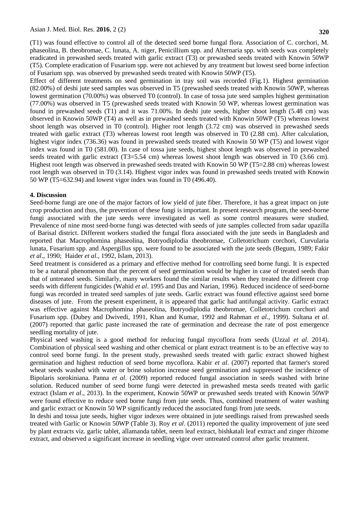(T1) was found effective to control all of the detected seed borne fungal flora. Association of C. corchori, M. phaseolina, B. theobromae, C. lunata, A. niger, Penicillium spp. and Alternaria spp. with seeds was completely eradicated in prewashed seeds treated with garlic extract (T3) or prewashed seeds treated with Knowin 50WP (T5). Complete eradication of Fusarium spp. were not achieved by any treatment but lowest seed borne infection of Fusarium spp. was observed by prewashed seeds treated with Knowin 50WP (T5).

Effect of different treatments on seed germination in tray soil was recorded (Fig.1). Highest germination (82.00%) of deshi jute seed samples was observed in T5 (prewashed seeds treated with Knowin 50WP, whereas lowest germination (70.00%) was observed T0 (control). In case of tossa jute seed samples highest germination (77.00%) was observed in T5 (prewashed seeds treated with Knowin 50 WP, whereas lowest germination was found in prewashed seeds (T1) and it was 71.00%. In deshi jute seeds, higher shoot length (5.48 cm) was observed in Knowin 50WP (T4) as well as in prewashed seeds treated with Knowin 50WP (T5) whereas lowest shoot length was observed in T0 (control). Higher root length (3.72 cm) was observed in prewashed seeds treated with garlic extract (T3) whereas lowest root length was observed in T0 (2.88 cm). After calculation, highest vigor index (736.36) was found in prewashed seeds treated with Knowin 50 WP (T5) and lowest vigor index was found in T0 (581.00). In case of tossa jute seeds, highest shoot length was observed in prewashed seeds treated with garlic extract (T3=5.54 cm) whereas lowest shoot length was observed in T0 (3.66 cm). Highest root length was observed in prewashed seeds treated with Knowin 50 WP (T5=2.88 cm) whereas lowest root length was observed in T0 (3.14). Highest vigor index was found in prewashed seeds treated with Knowin 50 WP (T5=632.94) and lowest vigor index was found in T0 (496.40).

#### **4. Discussion**

Seed-borne fungi are one of the major factors of low yield of jute fiber. Therefore, it has a great impact on jute crop production and thus, the prevention of these fungi is important. In present research program, the seed-borne fungi associated with the jute seeds were investigated as well as some control measures were studied. Prevalence of nine most seed-borne fungi was detected with seeds of jute samples collected from sadar upazilla of Barisal district. Different workers studied the fungal flora associated with the jute seeds in Bangladesh and reported that Macrophomina phaseolina, Botryodiplodia theobromae, Colletotrichum corchori, Curvularia lunata, Fusarium spp. and Aspergillus spp. were found to be associated with the jute seeds (Begum, 1989; Fakir *et al*., 1990; Haider *et al*., 1992, Islam, 2013).

Seed treatment is considered as a primary and effective method for controlling seed borne fungi. It is expected to be a natural phenomenon that the percent of seed germination would be higher in case of treated seeds than that of untreated seeds. Similarly, many workers found the similar results when they treated the different crop seeds with different fungicides (Wahid *et al*. 1995 and Das and Narian, 1996). Reduced incidence of seed-borne fungi was recorded in treated seed samples of jute seeds. Garlic extract was found effective against seed borne diseases of jute. From the present experiment, it is appeared that garlic had antifungal activity. Garlic extract was effective against Macrophomina phaseolina, Botryodiplodia theobromae, Colletotrichum corchori and Fusarium spp. (Dubey and Dwivedi, 1991, Khan and Kumar, 1992 and Rahman *et al*., 1999). Sultana *et al*. (2007) reported that garlic paste increased the rate of germination and decrease the rate of post emergence seedling mortality of jute.

Physical seed washing is a good method for reducing fungal mycoflora from seeds (Uzzal *et al*. 2014). Combination of physical seed washing and other chemical or plant extract treatment is to be an effective way to control seed borne fungi. In the present study, prewashed seeds treated with garlic extract showed highest germination and highest reduction of seed borne mycoflora. Kabir *et al*. (2007) reported that farmer's stored wheat seeds washed with water or brine solution increase seed germination and suppressed the incidence of Bipolaris sorokiniana. Panna *et al*. (2009) reported reduced fungal association in seeds washed with brine solution. Reduced number of seed borne fungi were detected in prewashed mesta seeds treated with garlic extract (Islam *et al*., 2013). In the experiment, Knowin 50WP or prewashed seeds treated with Knowin 50WP were found effective to reduce seed borne fungi from jute seeds. Thus, combined treatment of water washing and garlic extract or Knowin 50 WP significantly reduced the associated fungi from jute seeds.

In deshi and tossa jute seeds, higher vigor indexes were obtained in jute seedlings raised from prewashed seeds treated with Garlic or Knowin 50WP (Table 3). Roy *et al*. (2011) reported the quality improvement of jute seed by plant extracts viz. garlic tablet, allamanda tablet, neem leaf extract, bishkatali leaf extract and zinger rhizome extract, and observed a significant increase in seedling vigor over untreated control after garlic treatment.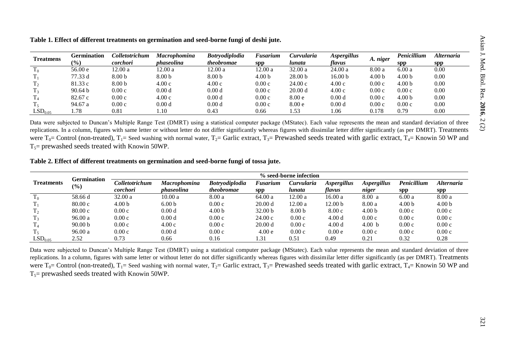| <b>Treatmens</b>      | Germination     | Colletotrichum    | <b>Macrophomina</b> | <b>Botryodiplodia</b> | <b>Fusarium</b>   | Curvularia         | <b>Aspergillus</b> | A. niger          | Penicillium       | Alternaria |
|-----------------------|-----------------|-------------------|---------------------|-----------------------|-------------------|--------------------|--------------------|-------------------|-------------------|------------|
|                       | $\frac{(0)}{0}$ | corchori          | phaseolina          | <i>theobromae</i>     | spp               | lunata             | flavus             |                   | <b>Spp</b>        | <b>spp</b> |
|                       | 56.00 e         | 12.00 a           | 12.00 a             | 12.00 a               | 12.00 a           | 32.00a             | 24.00a             | 8.00a             | 6.00a             | 0.00       |
|                       | 77.33 d         | 8.00 <sub>b</sub> | 8.00 <sub>b</sub>   | 8.00 <sub>b</sub>     | 4.00 <sub>b</sub> | 28.00 <sub>b</sub> | 16.00 <sub>b</sub> | 4.00 <sub>b</sub> | 4.00 <sub>b</sub> | 0.00       |
|                       | 81.33 c         | 8.00 <sub>b</sub> | 4.00c               | 4.00c                 | 0.00c             | 24.00c             | 4.00c              | 0.00c             | 4.00 <sub>b</sub> | 0.00       |
|                       | 90.64 b         | 0.00c             | 0.00 <sub>d</sub>   | 0.00 <sub>d</sub>     | 0.00c             | 20.00 d            | 4.00c              | 0.00c             | 0.00c             | 0.00       |
|                       | 82.67 c         | 0.00c             | 4.00c               | 0.00 <sub>d</sub>     | 0.00c             | 8.00 <sub>e</sub>  | 0.00 <sub>d</sub>  | 0.00c             | 4.00 <sub>b</sub> | 0.00       |
|                       | 94.67 a         | 0.00c             | 0.00 <sub>d</sub>   | 0.00 <sub>d</sub>     | 0.00c             | 8.00 <sub>e</sub>  | 0.00 <sub>d</sub>  | 0.00c             | 0.00c             | 0.00       |
| $\mathrm{LSD}_{0.05}$ | 1.78            | 0.81              | 1.10                | 0.43                  | 0.66              | 1.53               | 1.06               | 0.178             | 0.79              | 0.00       |

**Table 1. Effect of different treatments on germination and seed-borne fungi of deshi jute.**

Data were subjected to Duncan's Multiple Range Test (DMRT) using a statistical computer package (MStatec). Each value represents the mean and standard deviation of three replications. In a column, figures with same letter or without letter do not differ significantly whereas figures with dissimilar letter differ significantly (as per DMRT). Treatments were  $T_0$ = Control (non-treated),  $T_1$ = Seed washing with normal water,  $T_2$ = Garlic extract,  $T_3$ = Prewashed seeds treated with garlic extract,  $T_4$ = Knowin 50 WP and  $T_5$ = prewashed seeds treated with Knowin 50WP.

## **Table 2. Effect of different treatments on germination and seed-borne fungi of tossa jute.**

|                      | Germination<br>$\frac{1}{2}$ | % seed-borne infection |                     |                       |                    |                   |                    |                    |                           |                          |
|----------------------|------------------------------|------------------------|---------------------|-----------------------|--------------------|-------------------|--------------------|--------------------|---------------------------|--------------------------|
| <b>Treatments</b>    |                              | Colletotrichum         | <b>Macrophomina</b> | <b>Botryodiplodia</b> | Fusarium           | Curvularia        | <b>Aspergillus</b> | <b>Aspergillus</b> | Penicillium               | <i><b>Alternaria</b></i> |
|                      |                              | corchori               | phaseolina          | <i>theobromae</i>     | SDP                | lunata            | flavus             | niger              | ${\bf S} {\bf p} {\bf p}$ | <b>spp</b>               |
| m.<br>$\mathbf{1}_0$ | 58.66 d                      | 32.00a                 | 10.00a              | 8.00a                 | 64.00 a            | 12.00 a           | 16.00a             | 8.00 a             | 6.00a                     | 8.00a                    |
|                      | 80.00c                       | 4.00 <sub>b</sub>      | 6.00 <sub>b</sub>   | 0.00c                 | 20.00 d            | 12.00 a           | 12.00 <sub>b</sub> | 8.00a              | 4.00 <sub>b</sub>         | 4.00 <sub>b</sub>        |
| T,                   | 80.00c                       | 0.00c                  | 0.00d               | 4.00 <sub>b</sub>     | 32.00 <sub>b</sub> | 8.00 <sub>b</sub> | 8.00c              | 4.00 <sub>b</sub>  | 0.00c                     | 0.00c                    |
|                      | 96.00a                       | 0.00c                  | 0.00 <sub>d</sub>   | 0.00c                 | 24.00c             | 0.00c             | 4.00d              | 0.00c              | 0.00c                     | 0.00c                    |
| $T_{4}$              | 90.00 <sub>b</sub>           | 0.00c                  | 4.00c               | 0.00c                 | 20.00 d            | 0.00c             | 4.00d              | 4.00 b             | 0.00c                     | 0.00c                    |
| 15                   | 96.00a                       | 0.00c                  | 0.00 <sub>d</sub>   | 0.00c                 | 4.00 e             | 0.00c             | 0.00e              | 0.00c              | 0.00c                     | 0.00c                    |
| LSD <sub>0.05</sub>  | 2.52                         | 0.73                   | 0.66                | 0.16                  | 1.31               | 0.51              | 0.49               | 0.21               | 0.32                      | 0.28                     |

Data were subjected to Duncan's Multiple Range Test (DMRT) using a statistical computer package (MStatec). Each value represents the mean and standard deviation of three replications. In a column, figures with same letter or without letter do not differ significantly whereas figures with dissimilar letter differ significantly (as per DMRT). Treatments were  $T_0$ = Control (non-treated),  $T_1$ = Seed washing with normal water,  $T_2$ = Garlic extract,  $T_3$ = Prewashed seeds treated with garlic extract,  $T_4$ = Knowin 50 WP and  $T_5$ = prewashed seeds treated with Knowin 50WP.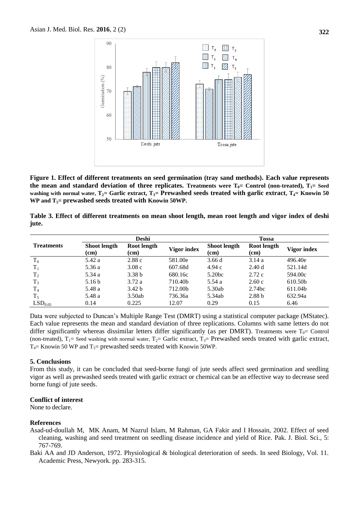

**Figure 1. Effect of different treatments on seed germination (tray sand methods). Each value represents the mean and standard deviation of three replicates. Treatments were**  $T_0$ **= Control (non-treated),**  $T_1$ **= Seed washing with normal water, T2= Garlic extract, T3= Prewashed seeds treated with garlic extract, T4= Knowin 50 WP and T5= prewashed seeds treated with Knowin 50WP.**

**Table 3. Effect of different treatments on mean shoot length, mean root length and vigor index of deshi jute.**

|                     |                             | Deshi               |             | <b>Tossa</b>                |                     |             |  |
|---------------------|-----------------------------|---------------------|-------------|-----------------------------|---------------------|-------------|--|
| <b>Treatments</b>   | <b>Shoot length</b><br>(cm) | Root length<br>(cm) | Vigor index | <b>Shoot length</b><br>(cm) | Root length<br>(cm) | Vigor index |  |
| $T_0$               | 5.42 a                      | 2.88c               | 581.00e     | 3.66d                       | 3.14a               | 496.40e     |  |
| $T_1$               | 5.36 a                      | 3.08c               | 607.68d     | 4.94 c                      | 2.40d               | 521.14d     |  |
| $T_2$               | 5.34 a                      | 3.38 <sub>b</sub>   | 680.16c     | 5.20 <sub>bc</sub>          | 2.72c               | 594.00c     |  |
| $T_3$               | 5.16 <sub>b</sub>           | 3.72a               | 710.40b     | 5.54 a                      | 2.60c               | 610.50b     |  |
| T <sub>4</sub>      | 5.48 a                      | 3.42 <sub>b</sub>   | 712.00b     | 5.30ab                      | 2.74bc              | 611.04b     |  |
| $T_5$               | 5.48 a                      | 3.50ab              | 736.36a     | 5.34ab                      | 2.88 <sub>b</sub>   | 632.94a     |  |
| LSD <sub>0.05</sub> | 0.14                        | 0.225               | 12.07       | 0.29                        | 0.15                | 6.46        |  |

Data were subjected to Duncan's Multiple Range Test (DMRT) using a statistical computer package (MStatec). Each value represents the mean and standard deviation of three replications. Columns with same letters do not differ significantly whereas dissimilar letters differ significantly (as per DMRT). Treatments were  $T_0=$  Control (non-treated),  $T_1$ = Seed washing with normal water,  $T_2$ = Garlic extract,  $T_3$ = Prewashed seeds treated with garlic extract,  $T_4$  Knowin 50 WP and  $T_5$  prewashed seeds treated with Knowin 50WP.

#### **5. Conclusions**

From this study, it can be concluded that seed-borne fungi of jute seeds affect seed germination and seedling vigor as well as prewashed seeds treated with garlic extract or chemical can be an effective way to decrease seed borne fungi of jute seeds.

## **Conflict of interest**

None to declare.

## **References**

Asad-ud-doullah M, MK Anam, M Nazrul Islam, M Rahman, GA Fakir and I Hossain, 2002. Effect of seed cleaning, washing and seed treatment on seedling disease incidence and yield of Rice. Pak. J. Biol. Sci., 5: 767-769.

Baki AA and JD Anderson, 1972. Physiological & biological deterioration of seeds. In seed Biology, Vol. 11. Academic Press, Newyork. pp. 283-315.